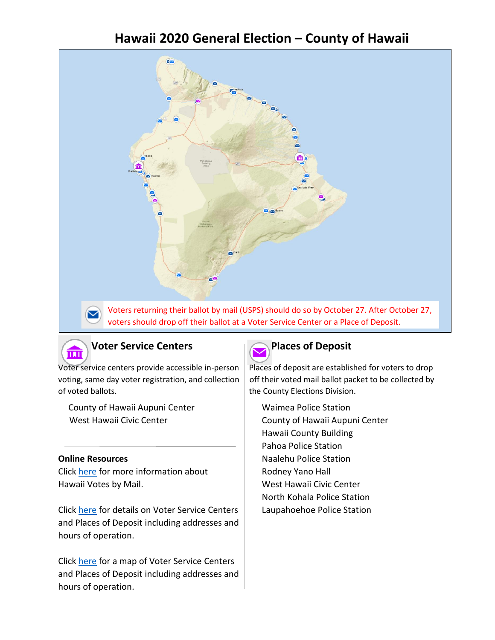# **Hawaii 2020 General Election – County of Hawaii**





## **Voter Service Centers Places of Deposit**

Voter service centers provide accessible in-person | Places of deposit are established for voters to drop of voted ballots. The County Elections Division.

 County of Hawaii Aupuni Center West Hawaii Civic Center

### **Online Resources**

Click [here](https://elections.hawaii.gov/hawaii-votes-by-mail/) for more information about Hawaii Votes by Mail.

Click [here](https://elections.hawaii.gov/voter-service-centers-and-places-of-deposit/) for details on Voter Service Centers | Laupahoehoe Police Station and Places of Deposit including addresses and hours of operation.

Click [here](https://histategis.maps.arcgis.com/apps/MapSeries/index.html?appid=40a88743b85b4fbfb8cf6128bacfedcf) for a map of Voter Service Centers and Places of Deposit including addresses and hours of operation.



voting, same day voter registration, and collection  $\mid$  off their voted mail ballot packet to be collected by

Waimea Police Station County of Hawaii Aupuni Center Hawaii County Building Pahoa Police Station Naalehu Police Station Rodney Yano Hall West Hawaii Civic Center North Kohala Police Station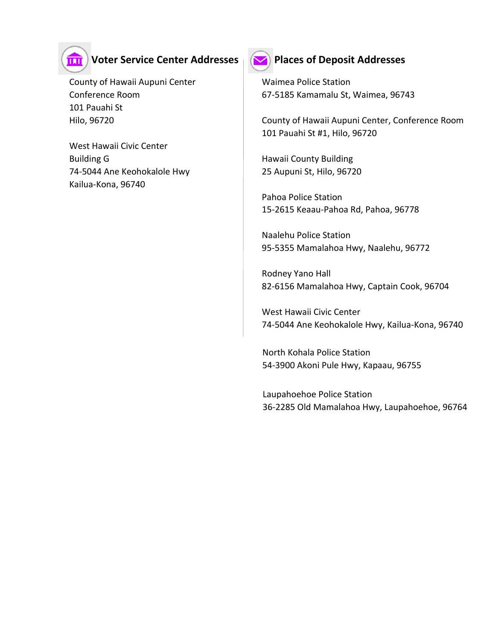

### **Voter Service Center Addresses Places of Deposit Addresses**

County of Hawaii Aupuni Center **Waimea Police Station** 101 Pauahi St

West Hawaii Civic Center Building G **Hawaii County Building** 74-5044 Ane Keohokalole Hwy 25 Aupuni St, Hilo, 96720 Kailua-Kona, 96740



Conference Room 67-5185 Kamamalu St, Waimea, 96743

Hilo, 96720 County of Hawaii Aupuni Center, Conference Room 101 Pauahi St #1, Hilo, 96720

Pahoa Police Station 15-2615 Keaau-Pahoa Rd, Pahoa, 96778

Naalehu Police Station 95-5355 Mamalahoa Hwy, Naalehu, 96772

Rodney Yano Hall 82-6156 Mamalahoa Hwy, Captain Cook, 96704

West Hawaii Civic Center 74-5044 Ane Keohokalole Hwy, Kailua-Kona, 96740

North Kohala Police Station 54-3900 Akoni Pule Hwy, Kapaau, 96755

Laupahoehoe Police Station 36-2285 Old Mamalahoa Hwy, Laupahoehoe, 96764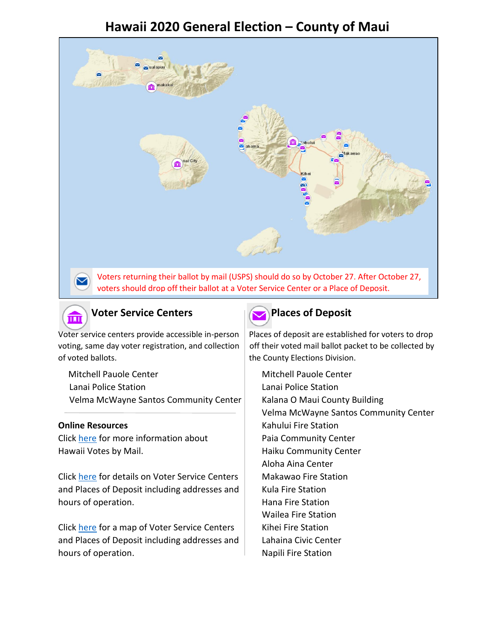# **Hawaii 2020 General Election – County of Maui**





of voted ballots. The County Elections Division.

Mitchell Pauole Center Mitchell Pauole Center Lanai Police Station Lanai Police Station Velma McWayne Santos Community Center | Kalana O Maui County Building

Click [here](https://elections.hawaii.gov/hawaii-votes-by-mail/) for more information about Paia Community Center Hawaii Votes by Mail. **Haiku Community Center** 

Click [here](https://elections.hawaii.gov/voter-service-centers-and-places-of-deposit/) for details on Voter Service Centers | Makawao Fire Station and Places of Deposit including addresses and  $\parallel$  Kula Fire Station hours of operation. The station of the Station control of the Station control of the Station control of the Station

Click [here](https://histategis.maps.arcgis.com/apps/MapSeries/index.html?appid=40a88743b85b4fbfb8cf6128bacfedcf) for a map of Voter Service Centers | Kihei Fire Station and Places of Deposit including addresses and Lahaina Civic Center hours of operation. The station of the Station is a set of the Station of the Station is a set of the Station

## **Voter Service Centers Places** of Deposit

Voter service centers provide accessible in-person Places of deposit are established for voters to drop voting, same day voter registration, and collection  $\vert$  off their voted mail ballot packet to be collected by

Velma McWayne Santos Community Center **Online Resources** The Constantine Resources Assembly Resources Assembly Resources Assembly Resources and Resources Aloha Aina Center Wailea Fire Station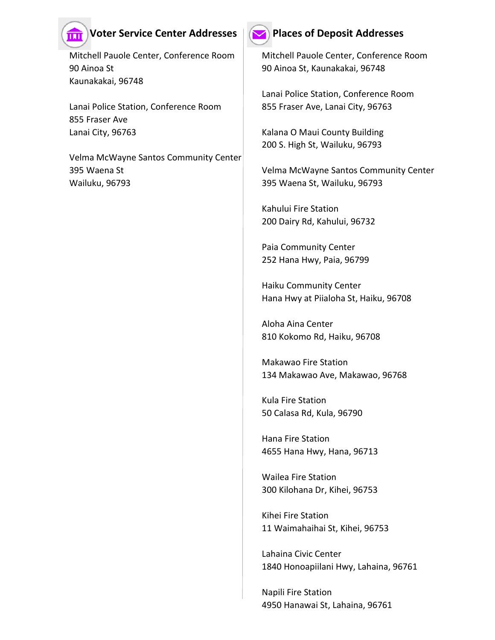## **Voter Service Center Addresses**  $\mathbf{Q}$  Places of Deposit Addresses

Mitchell Pauole Center, Conference Room | Mitchell Pauole Center, Conference Room 90 Ainoa St 90 Ainoa St, Kaunakakai, 96748 Kaunakakai, 96748

ш

Lanai Police Station, Conference Room | 855 Fraser Ave, Lanai City, 96763 855 Fraser Ave Lanai City, 96763 **Kalana O Maui County Building** 

Velma McWayne Santos Community Center 395 Waena St Velma McWayne Santos Community Center Wailuku, 96793 395 Waena St, Wailuku, 96793

Lanai Police Station, Conference Room

200 S. High St, Wailuku, 96793

Kahului Fire Station 200 Dairy Rd, Kahului, 96732

Paia Community Center 252 Hana Hwy, Paia, 96799

Haiku Community Center Hana Hwy at Piialoha St, Haiku, 96708

Aloha Aina Center 810 Kokomo Rd, Haiku, 96708

Makawao Fire Station 134 Makawao Ave, Makawao, 96768

Kula Fire Station 50 Calasa Rd, Kula, 96790

Hana Fire Station 4655 Hana Hwy, Hana, 96713

Wailea Fire Station 300 Kilohana Dr, Kihei, 96753

Kihei Fire Station 11 Waimahaihai St, Kihei, 96753

Lahaina Civic Center 1840 Honoapiilani Hwy, Lahaina, 96761

Napili Fire Station 4950 Hanawai St, Lahaina, 96761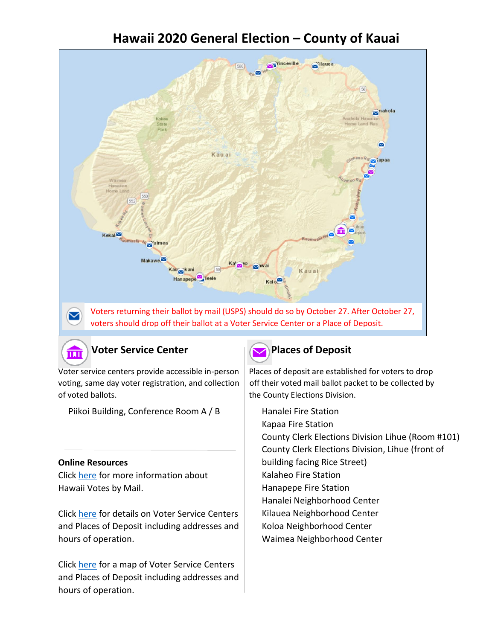# **Hawaii 2020 General Election – County of Kauai**



## **Voter Service Center Places** of Deposit



of voted ballots. The County Elections Division.

Piikoi Building, Conference Room A / B

### **Online Resources**

而

Click [here](https://elections.hawaii.gov/hawaii-votes-by-mail/) for more information about Hawaii Votes by Mail.

Click [here](https://elections.hawaii.gov/voter-service-centers-and-places-of-deposit/) for details on Voter Service Centers and Places of Deposit including addresses and hours of operation.

Click [here](https://histategis.maps.arcgis.com/apps/MapSeries/index.html?appid=40a88743b85b4fbfb8cf6128bacfedcf) for a map of Voter Service Centers and Places of Deposit including addresses and hours of operation.

Voter service centers provide accessible in-person | Places of deposit are established for voters to drop voting, same day voter registration, and collection  $\mid$  off their voted mail ballot packet to be collected by

> Hanalei Fire Station Kapaa Fire Station County Clerk Elections Division Lihue (Room #101) County Clerk Elections Division, Lihue (front of building facing Rice Street) Kalaheo Fire Station Hanapepe Fire Station Hanalei Neighborhood Center Kilauea Neighborhood Center Koloa Neighborhood Center Waimea Neighborhood Center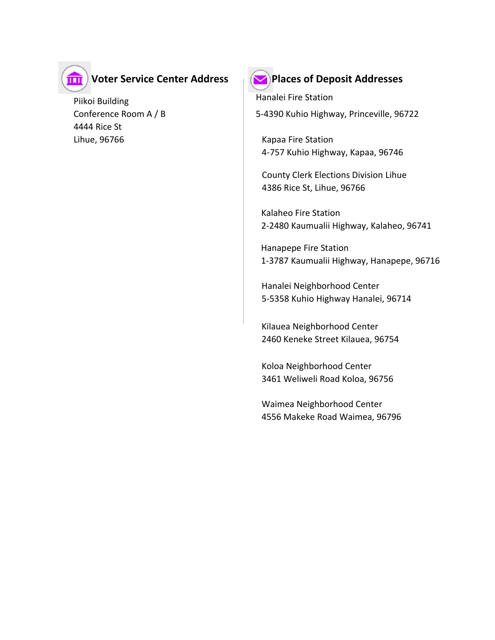

## **Voter Service Center Address**

Piikoi Building Conference Room A / B 4444 Rice St Lihue, 96766 Kapaa Fire Station



### **Places of Deposit Addresses**

Hanalei Fire Station 5-4390 Kuhio Highway, Princeville, 96722

4-757 Kuhio Highway, Kapaa, 96746

County Clerk Elections Division Lihue 4386 Rice St, Lihue, 96766

Kalaheo Fire Station 2-2480 Kaumualii Highway, Kalaheo, 96741

Hanapepe Fire Station 1-3787 Kaumualii Highway, Hanapepe, 96716

Hanalei Neighborhood Center 5-5358 Kuhio Highway Hanalei, 96714

Kilauea Neighborhood Center 2460 Keneke Street Kilauea, 96754

Koloa Neighborhood Center 3461 Weliweli Road Koloa, 96756

Waimea Neighborhood Center 4556 Makeke Road Waimea, 96796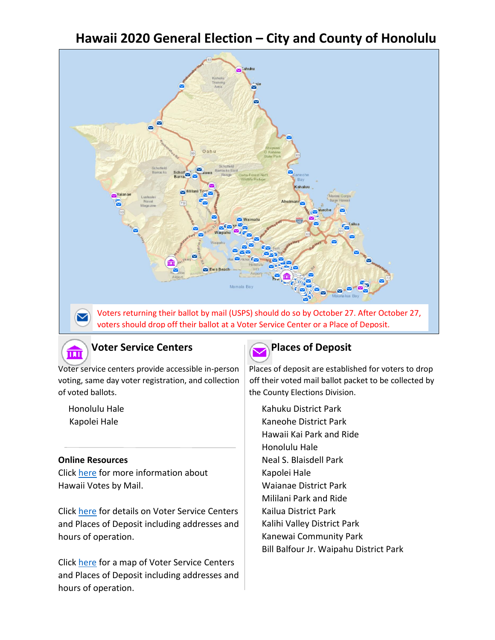# **Hawaii 2020 General Election – City and County of Honolulu**



Voters returning their ballot by mail (USPS) should do so by October 27. After October 27, voters should drop off their ballot at a Voter Service Center or a Place of Deposit.



 $\blacktriangledown$ 

### **Voter Service Centers Places of Deposit**

of voted ballots. The County Elections Division.

Honolulu Hale Kapolei Hale

### **Online Resources**

Click [here](https://elections.hawaii.gov/hawaii-votes-by-mail/) for more information about Hawaii Votes by Mail.

Click [here](https://elections.hawaii.gov/voter-service-centers-and-places-of-deposit/) for details on Voter Service Centers and Places of Deposit including addresses and hours of operation.

Click [here](https://histategis.maps.arcgis.com/apps/MapSeries/index.html?appid=40a88743b85b4fbfb8cf6128bacfedcf) for a map of Voter Service Centers and Places of Deposit including addresses and hours of operation.



Voter service centers provide accessible in-person | Places of deposit are established for voters to drop voting, same day voter registration, and collection  $\vert$  off their voted mail ballot packet to be collected by

> Kahuku District Park Kaneohe District Park Hawaii Kai Park and Ride Honolulu Hale Neal S. Blaisdell Park Kapolei Hale Waianae District Park Mililani Park and Ride Kailua District Park Kalihi Valley District Park Kanewai Community Park Bill Balfour Jr. Waipahu District Park